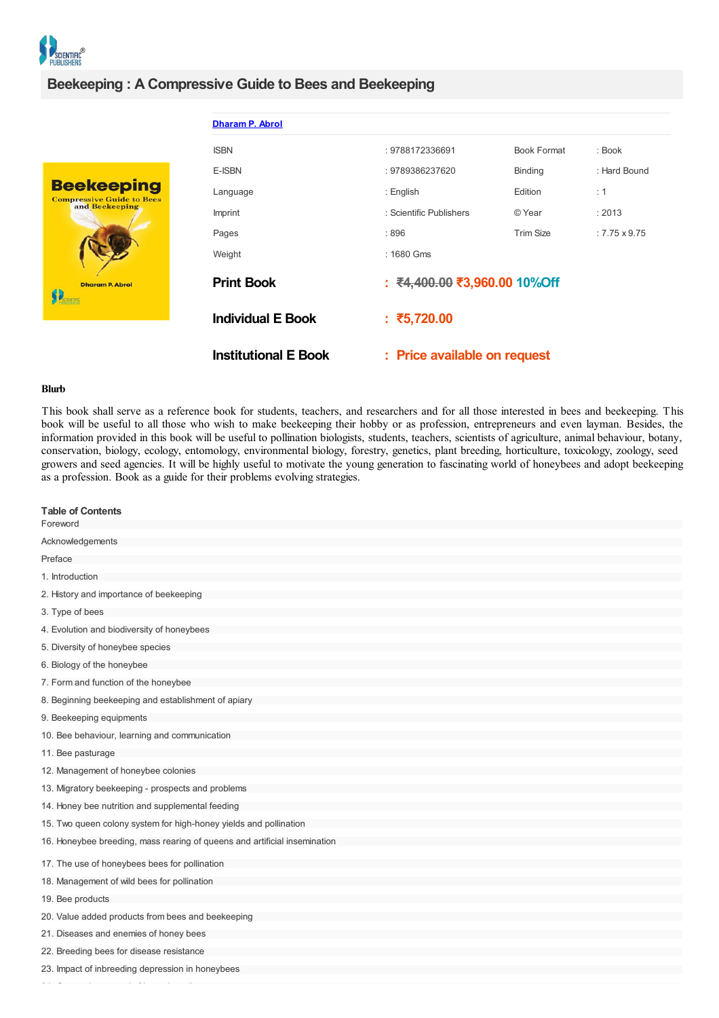

**Beekeepi** Compressive Guide<br>and Beekeep

## **Beekeeping : A Compressive Guide to Bees and Beekeeping**

|                   | <b>Dharam P. Abrol</b>      |                              |                    |                     |
|-------------------|-----------------------------|------------------------------|--------------------|---------------------|
|                   | <b>ISBN</b>                 | : 9788172336691              | <b>Book Format</b> | : Book              |
|                   | E-ISBN                      | : 9789386237620              | Binding            | : Hard Bound        |
| ıg<br><b>Bees</b> | Language                    | : English                    | Edition            | : 1                 |
|                   | Imprint                     | : Scientific Publishers      | © Year             | : 2013              |
|                   | Pages                       | :896                         | <b>Trim Size</b>   | $:7.75 \times 9.75$ |
|                   | Weight                      | : 1680 Gms                   |                    |                     |
|                   | <b>Print Book</b>           | : ₹4,400.00 ₹3,960.00 10%Off |                    |                     |
|                   | <b>Individual E Book</b>    | : ₹5,720.00                  |                    |                     |
|                   | <b>Institutional E Book</b> | : Price available on request |                    |                     |

## **Blurb**

 $24.24\pm0.00$  and  $24.4\pm0.00$  and  $24.4\pm0.00$ 

This book shall serve as a reference book for students, teachers, and researchers and for all those interested in bees and beekeeping. This book will be useful to all those who wish to make beekeeping their hobby or as profession, entrepreneurs and even layman. Besides, the information provided in this book will be useful to pollination biologists, students, teachers, scientists of agriculture, animal behaviour, botany, conservation, biology, ecology, entomology, environmental biology, forestry, genetics, plant breeding, horticulture, toxicology, zoology, seed growers and seed agencies. It will be highly useful to motivate the young generation to fascinating world of honeybees and adopt beekeeping as a profession. Book as a guide for their problems evolving strategies.

| <b>Table of Contents</b><br>Foreword                                      |
|---------------------------------------------------------------------------|
| Acknowledgements                                                          |
| Preface                                                                   |
| 1. Introduction                                                           |
| 2. History and importance of beekeeping                                   |
| 3. Type of bees                                                           |
| 4. Evolution and biodiversity of honeybees                                |
| 5. Diversity of honeybee species                                          |
| 6. Biology of the honeybee                                                |
| 7. Form and function of the honeybee                                      |
| 8. Beginning beekeeping and establishment of apiary                       |
| 9. Beekeeping equipments                                                  |
| 10. Bee behaviour, learning and communication                             |
| 11. Bee pasturage                                                         |
| 12. Management of honeybee colonies                                       |
| 13. Migratory beekeeping - prospects and problems                         |
| 14. Honey bee nutrition and supplemental feeding                          |
| 15. Two queen colony system for high-honey yields and pollination         |
| 16. Honeybee breeding, mass rearing of queens and artificial insemination |
|                                                                           |
| 17. The use of honeybees bees for pollination                             |
| 18. Management of wild bees for pollination                               |
| 19. Bee products                                                          |
| 20. Value added products from bees and beekeeping                         |
| 21. Diseases and enemies of honey bees                                    |
| 22. Breeding bees for disease resistance                                  |
| 23. Impact of inbreeding depression in honeybees                          |